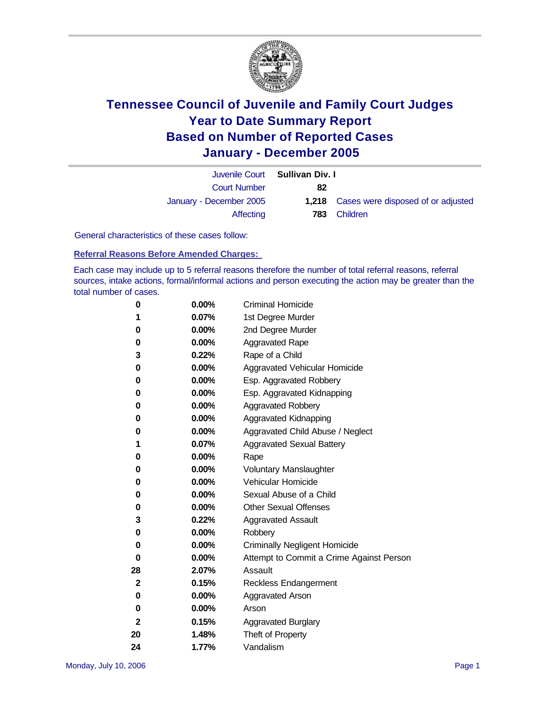

|                         | Juvenile Court Sullivan Div. I |                                                 |
|-------------------------|--------------------------------|-------------------------------------------------|
| <b>Court Number</b>     | 82                             |                                                 |
| January - December 2005 |                                | <b>1,218</b> Cases were disposed of or adjusted |
| Affecting               |                                | <b>783</b> Children                             |

General characteristics of these cases follow:

**Referral Reasons Before Amended Charges:** 

Each case may include up to 5 referral reasons therefore the number of total referral reasons, referral sources, intake actions, formal/informal actions and person executing the action may be greater than the total number of cases.

| 0            | $0.00\%$ | <b>Criminal Homicide</b>                 |
|--------------|----------|------------------------------------------|
| 1            | $0.07\%$ | 1st Degree Murder                        |
| 0            | $0.00\%$ | 2nd Degree Murder                        |
| 0            | $0.00\%$ | <b>Aggravated Rape</b>                   |
| 3            | $0.22\%$ | Rape of a Child                          |
| 0            | $0.00\%$ | Aggravated Vehicular Homicide            |
| 0            | $0.00\%$ | Esp. Aggravated Robbery                  |
| 0            | $0.00\%$ | Esp. Aggravated Kidnapping               |
| 0            | $0.00\%$ | Aggravated Robbery                       |
| 0            | $0.00\%$ | Aggravated Kidnapping                    |
| 0            | $0.00\%$ | Aggravated Child Abuse / Neglect         |
| 1            | $0.07\%$ | <b>Aggravated Sexual Battery</b>         |
| 0            | $0.00\%$ | Rape                                     |
| 0            | $0.00\%$ | <b>Voluntary Manslaughter</b>            |
| 0            | $0.00\%$ | Vehicular Homicide                       |
| 0            | $0.00\%$ | Sexual Abuse of a Child                  |
| 0            | $0.00\%$ | <b>Other Sexual Offenses</b>             |
| 3            | $0.22\%$ | <b>Aggravated Assault</b>                |
| 0            | $0.00\%$ | Robbery                                  |
| 0            | $0.00\%$ | <b>Criminally Negligent Homicide</b>     |
| 0            | $0.00\%$ | Attempt to Commit a Crime Against Person |
| 28           | 2.07%    | Assault                                  |
| $\mathbf{2}$ | 0.15%    | <b>Reckless Endangerment</b>             |
| 0            | $0.00\%$ | <b>Aggravated Arson</b>                  |
| 0            | $0.00\%$ | Arson                                    |
| $\mathbf{2}$ | 0.15%    | <b>Aggravated Burglary</b>               |
| 20           | 1.48%    | Theft of Property                        |
| 24           | 1.77%    | Vandalism                                |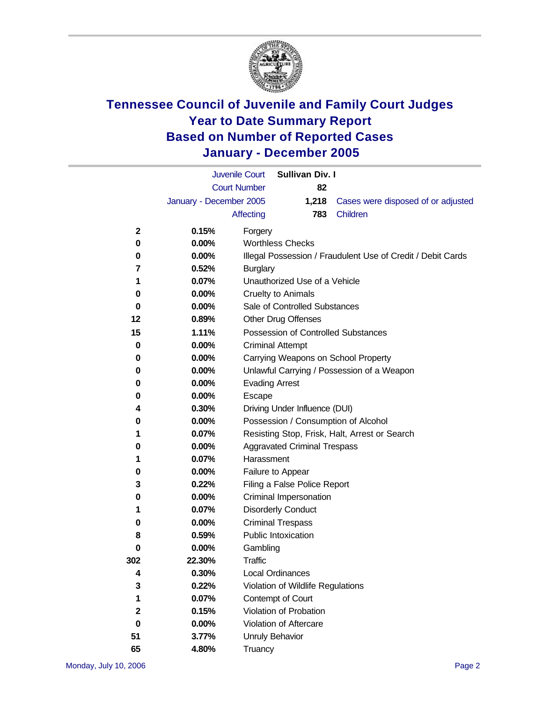

|     |                         | <b>Juvenile Court</b>      | <b>Sullivan Div. I</b>              |                                                             |  |  |  |  |
|-----|-------------------------|----------------------------|-------------------------------------|-------------------------------------------------------------|--|--|--|--|
|     |                         | <b>Court Number</b>        | 82                                  |                                                             |  |  |  |  |
|     | January - December 2005 |                            | 1,218                               | Cases were disposed of or adjusted                          |  |  |  |  |
|     |                         | <b>Affecting</b>           | 783                                 | Children                                                    |  |  |  |  |
| 2   | 0.15%                   | Forgery                    |                                     |                                                             |  |  |  |  |
| 0   | $0.00\%$                | <b>Worthless Checks</b>    |                                     |                                                             |  |  |  |  |
| 0   | $0.00\%$                |                            |                                     | Illegal Possession / Fraudulent Use of Credit / Debit Cards |  |  |  |  |
| 7   | 0.52%                   | <b>Burglary</b>            |                                     |                                                             |  |  |  |  |
| 1   | 0.07%                   |                            | Unauthorized Use of a Vehicle       |                                                             |  |  |  |  |
| 0   | $0.00\%$                | <b>Cruelty to Animals</b>  |                                     |                                                             |  |  |  |  |
| 0   | $0.00\%$                |                            | Sale of Controlled Substances       |                                                             |  |  |  |  |
| 12  | 0.89%                   | <b>Other Drug Offenses</b> |                                     |                                                             |  |  |  |  |
| 15  | 1.11%                   |                            |                                     | Possession of Controlled Substances                         |  |  |  |  |
| 0   | $0.00\%$                | <b>Criminal Attempt</b>    |                                     |                                                             |  |  |  |  |
| 0   | $0.00\%$                |                            |                                     | Carrying Weapons on School Property                         |  |  |  |  |
| 0   | $0.00\%$                |                            |                                     | Unlawful Carrying / Possession of a Weapon                  |  |  |  |  |
| 0   | $0.00\%$                | <b>Evading Arrest</b>      |                                     |                                                             |  |  |  |  |
| 0   | 0.00%                   | Escape                     |                                     |                                                             |  |  |  |  |
| 4   | 0.30%                   |                            | Driving Under Influence (DUI)       |                                                             |  |  |  |  |
| 0   | $0.00\%$                |                            |                                     | Possession / Consumption of Alcohol                         |  |  |  |  |
| 1   | 0.07%                   |                            |                                     | Resisting Stop, Frisk, Halt, Arrest or Search               |  |  |  |  |
| 0   | $0.00\%$                |                            | <b>Aggravated Criminal Trespass</b> |                                                             |  |  |  |  |
| 1   | 0.07%                   | Harassment                 |                                     |                                                             |  |  |  |  |
| 0   | $0.00\%$                | Failure to Appear          |                                     |                                                             |  |  |  |  |
| 3   | 0.22%                   |                            | Filing a False Police Report        |                                                             |  |  |  |  |
| 0   | $0.00\%$                |                            | Criminal Impersonation              |                                                             |  |  |  |  |
| 1   | 0.07%                   | <b>Disorderly Conduct</b>  |                                     |                                                             |  |  |  |  |
| 0   | 0.00%                   | <b>Criminal Trespass</b>   |                                     |                                                             |  |  |  |  |
| 8   | 0.59%                   | <b>Public Intoxication</b> |                                     |                                                             |  |  |  |  |
| 0   | $0.00\%$                | Gambling                   |                                     |                                                             |  |  |  |  |
| 302 | 22.30%                  | Traffic                    |                                     |                                                             |  |  |  |  |
| 4   | 0.30%                   | <b>Local Ordinances</b>    |                                     |                                                             |  |  |  |  |
| 3   | 0.22%                   |                            | Violation of Wildlife Regulations   |                                                             |  |  |  |  |
| 1   | 0.07%                   | Contempt of Court          |                                     |                                                             |  |  |  |  |
| 2   | 0.15%                   |                            | <b>Violation of Probation</b>       |                                                             |  |  |  |  |
| 0   | 0.00%                   |                            | Violation of Aftercare              |                                                             |  |  |  |  |
| 51  | 3.77%                   | <b>Unruly Behavior</b>     |                                     |                                                             |  |  |  |  |
| 65  | 4.80%                   | Truancy                    |                                     |                                                             |  |  |  |  |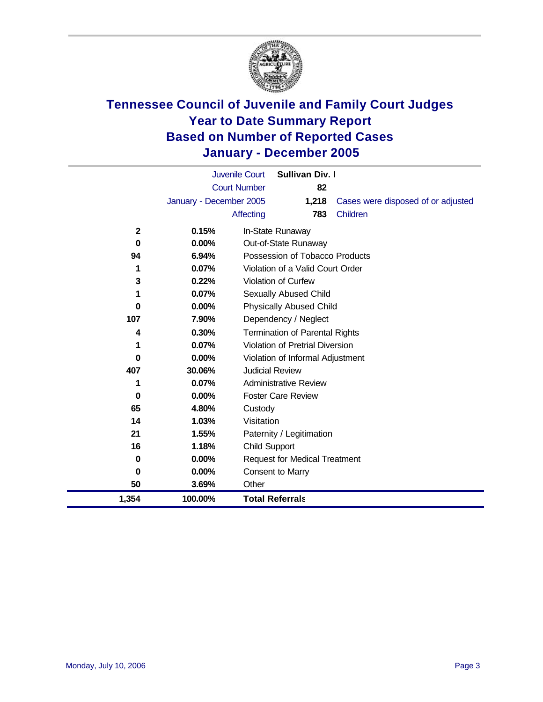

|              |                         | <b>Juvenile Court</b><br><b>Sullivan Div. I</b> |
|--------------|-------------------------|-------------------------------------------------|
|              |                         | <b>Court Number</b><br>82                       |
|              | January - December 2005 | 1,218<br>Cases were disposed of or adjusted     |
|              |                         | 783<br>Children<br>Affecting                    |
| $\mathbf{2}$ | 0.15%                   | In-State Runaway                                |
| 0            | $0.00\%$                | Out-of-State Runaway                            |
| 94           | $6.94\%$                | Possession of Tobacco Products                  |
| 1            | 0.07%                   | Violation of a Valid Court Order                |
| 3            | 0.22%                   | <b>Violation of Curfew</b>                      |
| 1            | 0.07%                   | Sexually Abused Child                           |
| 0            | $0.00\%$                | <b>Physically Abused Child</b>                  |
| 107          | 7.90%                   | Dependency / Neglect                            |
| 4            | 0.30%                   | <b>Termination of Parental Rights</b>           |
| 1            | 0.07%                   | <b>Violation of Pretrial Diversion</b>          |
| 0            | $0.00\%$                | Violation of Informal Adjustment                |
| 407          | 30.06%                  | <b>Judicial Review</b>                          |
| 1            | 0.07%                   | Administrative Review                           |
| 0            | $0.00\%$                | <b>Foster Care Review</b>                       |
| 65           | 4.80%                   | Custody                                         |
| 14           | 1.03%                   | Visitation                                      |
| 21           | 1.55%                   | Paternity / Legitimation                        |
| 16           | 1.18%                   | <b>Child Support</b>                            |
| 0            | $0.00\%$                | <b>Request for Medical Treatment</b>            |
| 0            | $0.00\%$                | Consent to Marry                                |
| 50           | 3.69%                   | Other                                           |
| 1,354        | 100.00%                 | <b>Total Referrals</b>                          |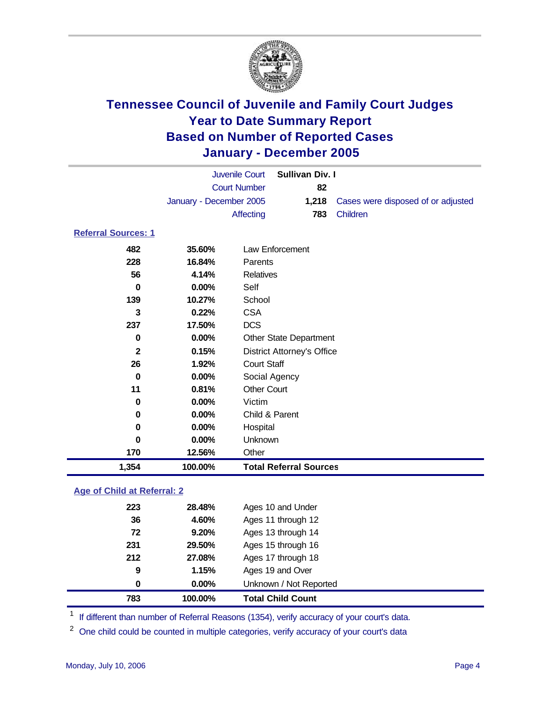

|                                    | <b>Juvenile Court</b>   |                    | <b>Sullivan Div. I</b>            |                                    |
|------------------------------------|-------------------------|--------------------|-----------------------------------|------------------------------------|
|                                    | <b>Court Number</b>     |                    | 82                                |                                    |
|                                    | January - December 2005 |                    | 1,218                             | Cases were disposed of or adjusted |
|                                    |                         | Affecting          | 783                               | Children                           |
| <b>Referral Sources: 1</b>         |                         |                    |                                   |                                    |
| 482                                | 35.60%                  |                    | Law Enforcement                   |                                    |
| 228                                | 16.84%                  | Parents            |                                   |                                    |
| 56                                 | 4.14%                   | <b>Relatives</b>   |                                   |                                    |
| $\bf{0}$                           | 0.00%                   | Self               |                                   |                                    |
| 139                                | 10.27%                  | School             |                                   |                                    |
| $\overline{3}$                     | 0.22%                   | <b>CSA</b>         |                                   |                                    |
| 237                                | 17.50%                  | <b>DCS</b>         |                                   |                                    |
| $\pmb{0}$                          | 0.00%                   |                    | Other State Department            |                                    |
| $\mathbf{2}$                       | 0.15%                   |                    | <b>District Attorney's Office</b> |                                    |
| 26                                 | 1.92%                   | <b>Court Staff</b> |                                   |                                    |
| $\mathbf 0$                        | 0.00%                   | Social Agency      |                                   |                                    |
| 11                                 | 0.81%                   | <b>Other Court</b> |                                   |                                    |
| 0                                  | 0.00%                   | Victim             |                                   |                                    |
| 0                                  | $0.00\%$                | Child & Parent     |                                   |                                    |
| 0                                  | 0.00%                   | Hospital           |                                   |                                    |
| $\mathbf 0$                        | 0.00%                   | Unknown            |                                   |                                    |
| 170                                | 12.56%                  | Other              |                                   |                                    |
| 1,354                              | 100.00%                 |                    | <b>Total Referral Sources</b>     |                                    |
| <b>Age of Child at Referral: 2</b> |                         |                    |                                   |                                    |
| 223                                | 28.48%                  |                    | Ages 10 and Under                 |                                    |
| 36                                 | 4.60%                   |                    | Ages 11 through 12                |                                    |
| 72                                 | 9.20%                   |                    | Ages 13 through 14                |                                    |
| 231                                | 29.50%                  |                    | Ages 15 through 16                |                                    |
| 212                                | 27.08%                  |                    | Ages 17 through 18                |                                    |
| $\boldsymbol{9}$                   | 1.15%                   |                    | Ages 19 and Over                  |                                    |
| $\bf{0}$                           | 0.00%                   |                    | Unknown / Not Reported            |                                    |
| 783                                | 100.00%                 |                    | <b>Total Child Count</b>          |                                    |
|                                    |                         |                    |                                   |                                    |

<sup>1</sup> If different than number of Referral Reasons (1354), verify accuracy of your court's data.

<sup>2</sup> One child could be counted in multiple categories, verify accuracy of your court's data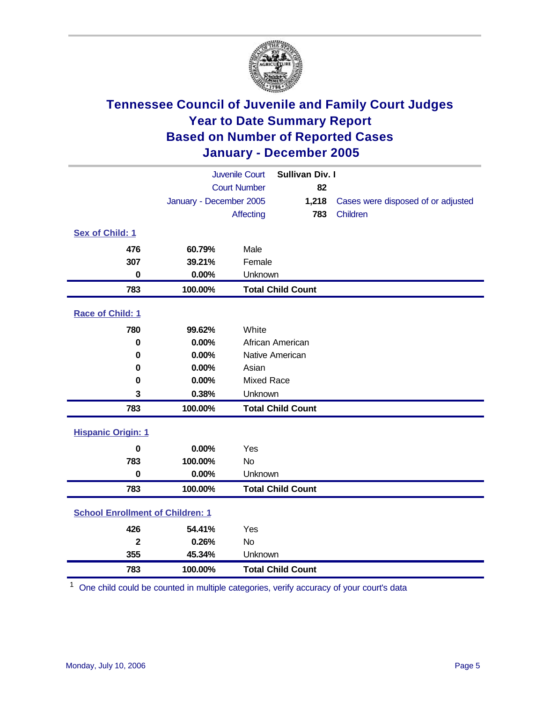

| <b>Juvenile Court</b>                   |                         | Sullivan Div. I   |                          |                                    |
|-----------------------------------------|-------------------------|-------------------|--------------------------|------------------------------------|
|                                         | <b>Court Number</b>     |                   | 82                       |                                    |
|                                         | January - December 2005 |                   | 1,218                    | Cases were disposed of or adjusted |
|                                         |                         | <b>Affecting</b>  | 783                      | Children                           |
| Sex of Child: 1                         |                         |                   |                          |                                    |
| 476                                     | 60.79%                  | Male              |                          |                                    |
| 307                                     | 39.21%                  | Female            |                          |                                    |
| $\bf{0}$                                | 0.00%                   | Unknown           |                          |                                    |
| 783                                     | 100.00%                 |                   | <b>Total Child Count</b> |                                    |
| Race of Child: 1                        |                         |                   |                          |                                    |
| 780                                     | 99.62%                  | White             |                          |                                    |
| $\bf{0}$                                | 0.00%                   |                   | African American         |                                    |
| 0                                       | 0.00%                   |                   | Native American          |                                    |
| 0                                       | 0.00%                   | Asian             |                          |                                    |
| 0                                       | 0.00%                   | <b>Mixed Race</b> |                          |                                    |
| 3                                       | 0.38%                   | Unknown           |                          |                                    |
| 783                                     | 100.00%                 |                   | <b>Total Child Count</b> |                                    |
| <b>Hispanic Origin: 1</b>               |                         |                   |                          |                                    |
| $\bf{0}$                                | 0.00%                   | Yes               |                          |                                    |
| 783                                     | 100.00%                 | <b>No</b>         |                          |                                    |
| $\bf{0}$                                | 0.00%                   | Unknown           |                          |                                    |
| 783                                     | 100.00%                 |                   | <b>Total Child Count</b> |                                    |
| <b>School Enrollment of Children: 1</b> |                         |                   |                          |                                    |
| 426                                     | 54.41%                  | Yes               |                          |                                    |
| $\overline{2}$                          | 0.26%                   | <b>No</b>         |                          |                                    |
| 355                                     | 45.34%                  | Unknown           |                          |                                    |
| 783                                     | 100.00%                 |                   | <b>Total Child Count</b> |                                    |

<sup>1</sup> One child could be counted in multiple categories, verify accuracy of your court's data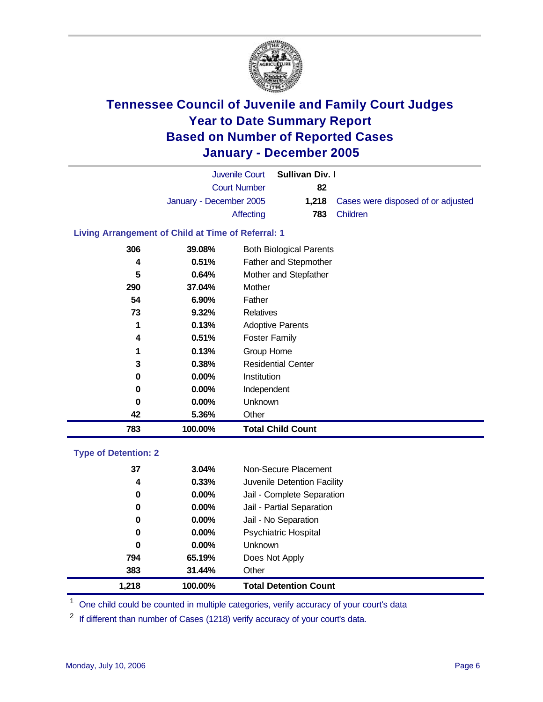

| Juvenile Court          | Sullivan Div. I |                                                 |
|-------------------------|-----------------|-------------------------------------------------|
| <b>Court Number</b>     | 82              |                                                 |
| January - December 2005 |                 | <b>1,218</b> Cases were disposed of or adjusted |
| Affecting               |                 | <b>783</b> Children                             |

### **Living Arrangement of Child at Time of Referral: 1**

| 783 | 100.00%  | <b>Total Child Count</b>       |
|-----|----------|--------------------------------|
| 42  | 5.36%    | Other                          |
| 0   | 0.00%    | Unknown                        |
| 0   | 0.00%    | Independent                    |
| 0   | $0.00\%$ | <b>Institution</b>             |
| 3   | 0.38%    | <b>Residential Center</b>      |
| 1   | 0.13%    | Group Home                     |
| 4   | 0.51%    | <b>Foster Family</b>           |
| 1   | 0.13%    | <b>Adoptive Parents</b>        |
| 73  | 9.32%    | Relatives                      |
| 54  | 6.90%    | Father                         |
| 290 | 37.04%   | Mother                         |
| 5   | 0.64%    | Mother and Stepfather          |
| 4   | 0.51%    | Father and Stepmother          |
| 306 | 39.08%   | <b>Both Biological Parents</b> |
|     |          |                                |

#### **Type of Detention: 2**

| 1,218 | 100.00%  | <b>Total Detention Count</b> |
|-------|----------|------------------------------|
| 383   | 31.44%   | Other                        |
| 794   | 65.19%   | Does Not Apply               |
| 0     | $0.00\%$ | <b>Unknown</b>               |
| 0     | $0.00\%$ | <b>Psychiatric Hospital</b>  |
| 0     | 0.00%    | Jail - No Separation         |
| 0     | 0.00%    | Jail - Partial Separation    |
| 0     | $0.00\%$ | Jail - Complete Separation   |
| 4     | 0.33%    | Juvenile Detention Facility  |
| 37    | 3.04%    | Non-Secure Placement         |
|       |          |                              |

<sup>1</sup> One child could be counted in multiple categories, verify accuracy of your court's data

If different than number of Cases (1218) verify accuracy of your court's data.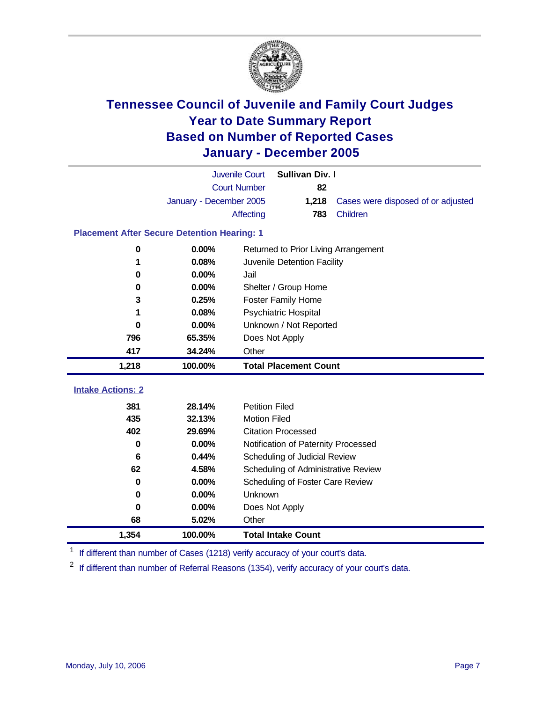

|                                                    |                         | <b>Juvenile Court</b> | <b>Sullivan Div. I</b>               |                                    |  |
|----------------------------------------------------|-------------------------|-----------------------|--------------------------------------|------------------------------------|--|
|                                                    | <b>Court Number</b>     |                       | 82                                   |                                    |  |
|                                                    | January - December 2005 |                       | 1,218                                | Cases were disposed of or adjusted |  |
|                                                    |                         | Affecting             | 783                                  | Children                           |  |
| <b>Placement After Secure Detention Hearing: 1</b> |                         |                       |                                      |                                    |  |
|                                                    |                         |                       |                                      |                                    |  |
| 0                                                  | 0.00%                   |                       | Returned to Prior Living Arrangement |                                    |  |
| 1                                                  | 0.08%                   |                       | Juvenile Detention Facility          |                                    |  |
| 0                                                  | $0.00\%$                | Jail                  |                                      |                                    |  |
| 0                                                  | 0.00%                   |                       | Shelter / Group Home                 |                                    |  |
| 3                                                  | 0.25%                   |                       | <b>Foster Family Home</b>            |                                    |  |
| 1                                                  | 0.08%                   |                       | <b>Psychiatric Hospital</b>          |                                    |  |
| 0                                                  | 0.00%                   |                       | Unknown / Not Reported               |                                    |  |
| 796                                                | 65.35%                  |                       | Does Not Apply                       |                                    |  |
| 417                                                | 34.24%                  | Other                 |                                      |                                    |  |
|                                                    |                         |                       |                                      |                                    |  |
| 1,218                                              | 100.00%                 |                       | <b>Total Placement Count</b>         |                                    |  |
|                                                    |                         |                       |                                      |                                    |  |
| <b>Intake Actions: 2</b>                           |                         |                       |                                      |                                    |  |
| 381                                                | 28.14%                  | <b>Petition Filed</b> |                                      |                                    |  |
| 435                                                | 32.13%                  | <b>Motion Filed</b>   |                                      |                                    |  |
| 402                                                | 29.69%                  |                       | <b>Citation Processed</b>            |                                    |  |
| 0                                                  | 0.00%                   |                       | Notification of Paternity Processed  |                                    |  |
| 6                                                  | 0.44%                   |                       | Scheduling of Judicial Review        |                                    |  |
| 62                                                 | 4.58%                   |                       | Scheduling of Administrative Review  |                                    |  |
| 0                                                  | $0.00\%$                |                       | Scheduling of Foster Care Review     |                                    |  |
| 0                                                  | 0.00%                   | Unknown               |                                      |                                    |  |
| 0                                                  | 0.00%                   |                       | Does Not Apply                       |                                    |  |
| 68                                                 | 5.02%                   | Other                 |                                      |                                    |  |

<sup>1</sup> If different than number of Cases (1218) verify accuracy of your court's data.

<sup>2</sup> If different than number of Referral Reasons (1354), verify accuracy of your court's data.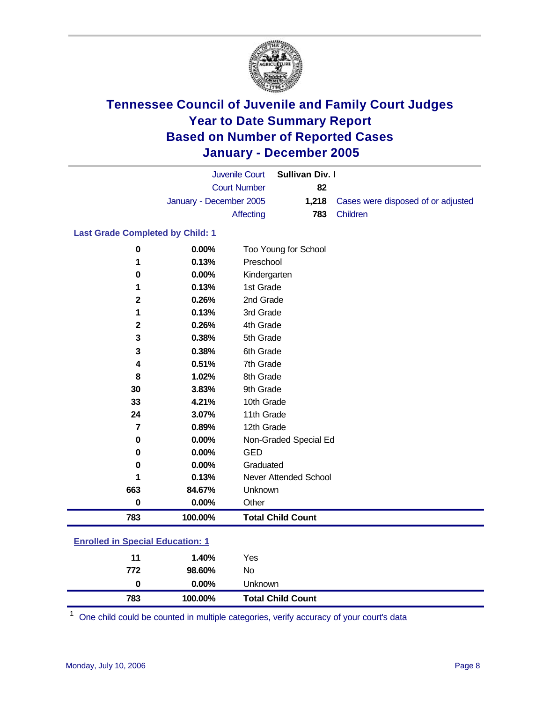

|                                         |                         | <b>Juvenile Court</b> | <b>Sullivan Div. I</b>   |                                    |
|-----------------------------------------|-------------------------|-----------------------|--------------------------|------------------------------------|
|                                         | <b>Court Number</b>     |                       | 82                       |                                    |
|                                         | January - December 2005 |                       | 1,218                    | Cases were disposed of or adjusted |
|                                         |                         | <b>Affecting</b>      | 783                      | Children                           |
| <b>Last Grade Completed by Child: 1</b> |                         |                       |                          |                                    |
| 0                                       | 0.00%                   |                       | Too Young for School     |                                    |
| 1                                       | 0.13%                   | Preschool             |                          |                                    |
| 0                                       | 0.00%                   | Kindergarten          |                          |                                    |
| 1                                       | 0.13%                   | 1st Grade             |                          |                                    |
| $\mathbf 2$                             | 0.26%                   | 2nd Grade             |                          |                                    |
| 1                                       | 0.13%                   | 3rd Grade             |                          |                                    |
| $\overline{\mathbf{2}}$                 | 0.26%                   | 4th Grade             |                          |                                    |
| 3                                       | 0.38%                   | 5th Grade             |                          |                                    |
| 3                                       | 0.38%                   | 6th Grade             |                          |                                    |
| 4                                       | 0.51%                   | 7th Grade             |                          |                                    |
| 8                                       | 1.02%                   | 8th Grade             |                          |                                    |
| 30                                      | 3.83%                   | 9th Grade             |                          |                                    |
| 33                                      | 4.21%                   | 10th Grade            |                          |                                    |
| 24                                      | 3.07%                   | 11th Grade            |                          |                                    |
| $\overline{7}$                          | 0.89%                   | 12th Grade            |                          |                                    |
| $\pmb{0}$                               | $0.00\%$                |                       | Non-Graded Special Ed    |                                    |
| 0                                       | 0.00%                   | <b>GED</b>            |                          |                                    |
| $\mathbf 0$                             | 0.00%                   | Graduated             |                          |                                    |
| 1                                       | 0.13%                   |                       | Never Attended School    |                                    |
| 663                                     | 84.67%                  | Unknown               |                          |                                    |
| $\bf{0}$                                | 0.00%                   | Other                 |                          |                                    |
| 783                                     | 100.00%                 |                       | <b>Total Child Count</b> |                                    |
| <b>Enrolled in Special Education: 1</b> |                         |                       |                          |                                    |
| 11                                      | 1.40%                   | Yes                   |                          |                                    |
| 772                                     | 98.60%                  | <b>No</b>             |                          |                                    |
| $\bf{0}$                                | 0.00%                   | Unknown               |                          |                                    |
| 783                                     | 100.00%                 |                       | <b>Total Child Count</b> |                                    |

One child could be counted in multiple categories, verify accuracy of your court's data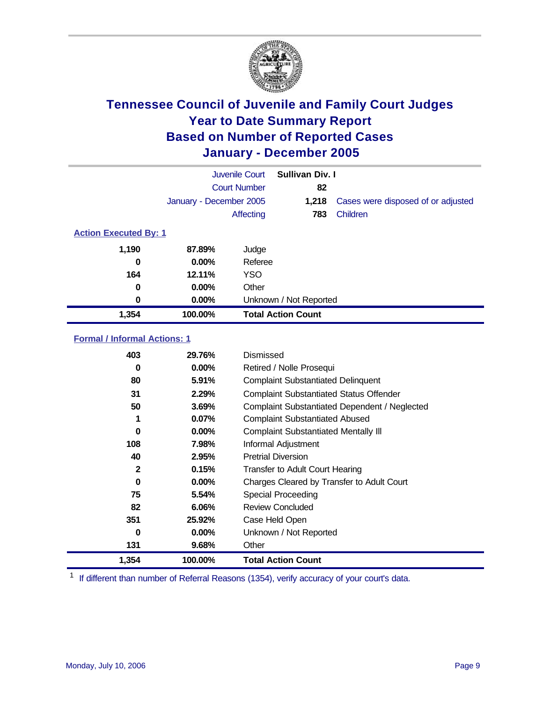

|                                     | <b>Juvenile Court</b>   |                                           | <b>Sullivan Div. I</b>                      |                                                |  |  |
|-------------------------------------|-------------------------|-------------------------------------------|---------------------------------------------|------------------------------------------------|--|--|
|                                     | <b>Court Number</b>     |                                           | 82                                          |                                                |  |  |
|                                     | January - December 2005 |                                           | 1,218                                       | Cases were disposed of or adjusted             |  |  |
|                                     |                         | Affecting                                 | 783                                         | Children                                       |  |  |
| <b>Action Executed By: 1</b>        |                         |                                           |                                             |                                                |  |  |
| 1,190                               | 87.89%                  | Judge                                     |                                             |                                                |  |  |
| $\bf{0}$                            | 0.00%                   | Referee                                   |                                             |                                                |  |  |
| 164                                 | 12.11%                  | <b>YSO</b>                                |                                             |                                                |  |  |
| $\bf{0}$                            | 0.00%                   | Other                                     |                                             |                                                |  |  |
| 0                                   | 0.00%                   |                                           | Unknown / Not Reported                      |                                                |  |  |
| 1,354                               | 100.00%                 |                                           | <b>Total Action Count</b>                   |                                                |  |  |
| <b>Formal / Informal Actions: 1</b> |                         |                                           |                                             |                                                |  |  |
| 403                                 | 29.76%                  | Dismissed                                 |                                             |                                                |  |  |
| $\bf{0}$                            | 0.00%                   |                                           | Retired / Nolle Prosequi                    |                                                |  |  |
| 80                                  | 5.91%                   | <b>Complaint Substantiated Delinquent</b> |                                             |                                                |  |  |
| 31                                  | 2.29%                   |                                           |                                             | <b>Complaint Substantiated Status Offender</b> |  |  |
| 50                                  | 3.69%                   |                                           |                                             | Complaint Substantiated Dependent / Neglected  |  |  |
| 1                                   | 0.07%                   |                                           | <b>Complaint Substantiated Abused</b>       |                                                |  |  |
| $\mathbf 0$                         | $0.00\%$                |                                           | <b>Complaint Substantiated Mentally III</b> |                                                |  |  |
| 108                                 | 7.98%                   |                                           | Informal Adjustment                         |                                                |  |  |
| 40                                  | 2.95%                   |                                           | <b>Pretrial Diversion</b>                   |                                                |  |  |
| $\mathbf{2}$                        | 0.15%                   |                                           | <b>Transfer to Adult Court Hearing</b>      |                                                |  |  |
| $\bf{0}$                            | 0.00%                   |                                           |                                             | Charges Cleared by Transfer to Adult Court     |  |  |
| 75                                  | 5.54%                   |                                           | <b>Special Proceeding</b>                   |                                                |  |  |
| 82                                  | 6.06%                   |                                           | <b>Review Concluded</b>                     |                                                |  |  |
| 351                                 | 25.92%                  |                                           | Case Held Open                              |                                                |  |  |
| $\bf{0}$                            | 0.00%                   |                                           | Unknown / Not Reported                      |                                                |  |  |
| 131                                 | 9.68%                   | Other                                     |                                             |                                                |  |  |
| 1,354                               | 100.00%                 |                                           | <b>Total Action Count</b>                   |                                                |  |  |

<sup>1</sup> If different than number of Referral Reasons (1354), verify accuracy of your court's data.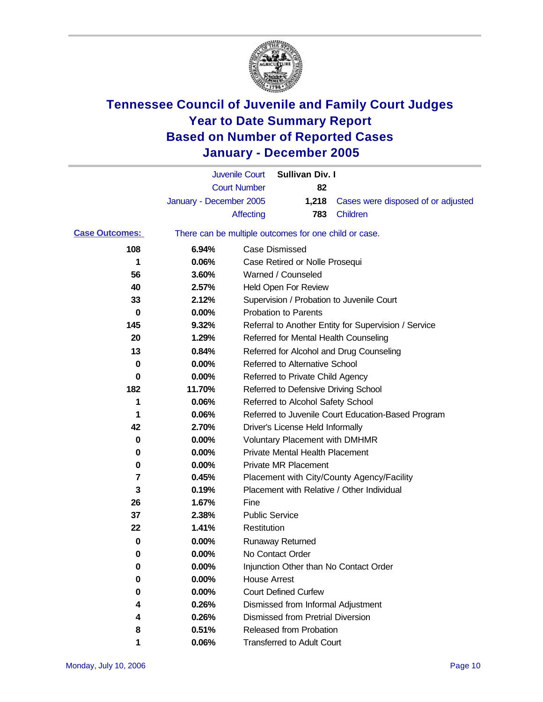

|                       |                                                       | <b>Juvenile Court</b>                                | <b>Sullivan Div. I</b> |                                    |
|-----------------------|-------------------------------------------------------|------------------------------------------------------|------------------------|------------------------------------|
|                       |                                                       | <b>Court Number</b>                                  | 82                     |                                    |
|                       | January - December 2005                               |                                                      | 1,218                  | Cases were disposed of or adjusted |
|                       |                                                       | Affecting                                            | 783                    | <b>Children</b>                    |
| <b>Case Outcomes:</b> | There can be multiple outcomes for one child or case. |                                                      |                        |                                    |
| 108                   | 6.94%                                                 | Case Dismissed                                       |                        |                                    |
| 1                     | 0.06%                                                 | Case Retired or Nolle Prosequi                       |                        |                                    |
| 56                    | 3.60%                                                 | Warned / Counseled                                   |                        |                                    |
| 40                    | 2.57%                                                 | Held Open For Review                                 |                        |                                    |
| 33                    | 2.12%                                                 | Supervision / Probation to Juvenile Court            |                        |                                    |
| 0                     | $0.00\%$                                              | <b>Probation to Parents</b>                          |                        |                                    |
| 145                   | 9.32%                                                 | Referral to Another Entity for Supervision / Service |                        |                                    |
| 20                    | 1.29%                                                 | Referred for Mental Health Counseling                |                        |                                    |
| 13                    | 0.84%                                                 | Referred for Alcohol and Drug Counseling             |                        |                                    |
| 0                     | $0.00\%$                                              | Referred to Alternative School                       |                        |                                    |
| 0                     | $0.00\%$                                              | Referred to Private Child Agency                     |                        |                                    |
| 182                   | 11.70%                                                | Referred to Defensive Driving School                 |                        |                                    |
| 1                     | 0.06%                                                 | Referred to Alcohol Safety School                    |                        |                                    |
| 1                     | 0.06%                                                 | Referred to Juvenile Court Education-Based Program   |                        |                                    |
| 42                    | 2.70%                                                 | Driver's License Held Informally                     |                        |                                    |
| 0                     | $0.00\%$                                              | <b>Voluntary Placement with DMHMR</b>                |                        |                                    |
| 0                     | $0.00\%$                                              | <b>Private Mental Health Placement</b>               |                        |                                    |
| 0                     | $0.00\%$                                              | Private MR Placement                                 |                        |                                    |
| 7                     | 0.45%                                                 | Placement with City/County Agency/Facility           |                        |                                    |
| 3                     | 0.19%                                                 | Placement with Relative / Other Individual           |                        |                                    |
| 26                    | 1.67%                                                 | Fine                                                 |                        |                                    |
| 37                    | 2.38%                                                 | <b>Public Service</b>                                |                        |                                    |
| 22                    | 1.41%                                                 | Restitution                                          |                        |                                    |
| 0                     | $0.00\%$                                              | <b>Runaway Returned</b>                              |                        |                                    |
| 0                     | 0.00%                                                 | No Contact Order                                     |                        |                                    |
| 0                     | 0.00%                                                 | Injunction Other than No Contact Order               |                        |                                    |
| 0                     | 0.00%                                                 | <b>House Arrest</b>                                  |                        |                                    |
| 0                     | 0.00%                                                 | <b>Court Defined Curfew</b>                          |                        |                                    |
| 4                     | 0.26%                                                 | Dismissed from Informal Adjustment                   |                        |                                    |
| 4                     | 0.26%                                                 | <b>Dismissed from Pretrial Diversion</b>             |                        |                                    |
| 8                     | 0.51%                                                 | Released from Probation                              |                        |                                    |
| 1                     | 0.06%                                                 | <b>Transferred to Adult Court</b>                    |                        |                                    |